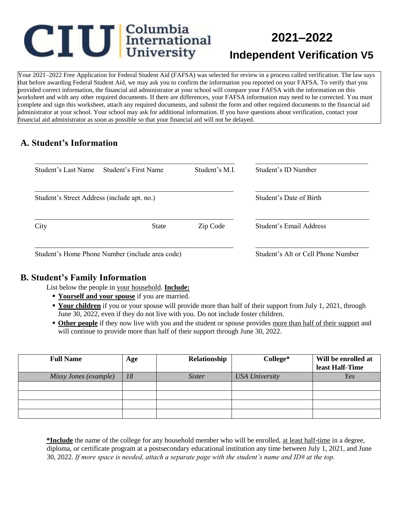# **CIU** International

## **2021–2022 Independent Verification V5**

Your 2021–2022 Free Application for Federal Student Aid (FAFSA) was selected for review in a process called verification. The law says that before awarding Federal Student Aid, we may ask you to confirm the information you reported on your FAFSA. To verify that you provided correct information, the financial aid administrator at your school will compare your FAFSA with the information on this worksheet and with any other required documents. If there are differences, your FAFSA information may need to be corrected. You must complete and sign this worksheet, attach any required documents, and submit the form and other required documents to the financial aid administrator at your school. Your school may ask for additional information. If you have questions about verification, contact your financial aid administrator as soon as possible so that your financial aid will not be delayed.

#### **A. Student's Information**

| Student's Last Name                             | Student's First Name | Student's M.I.          | Student's ID Number                |
|-------------------------------------------------|----------------------|-------------------------|------------------------------------|
| Student's Street Address (include apt. no.)     |                      | Student's Date of Birth |                                    |
| City                                            | <b>State</b>         | Zip Code                | Student's Email Address            |
| Student's Home Phone Number (include area code) |                      |                         | Student's Alt or Cell Phone Number |

#### **B. Student's Family Information**

List below the people in your household. **Include:**

- **Yourself and your spouse** if you are married.
- **Your children** if you or your spouse will provide more than half of their support from July 1, 2021, through June 30, 2022, even if they do not live with you. Do not include foster children.
- **Other people** if they now live with you and the student or spouse provides more than half of their support and will continue to provide more than half of their support through June 30, 2022.

| <b>Full Name</b>      | Age | Relationship  | College*              | Will be enrolled at<br>least Half-Time |
|-----------------------|-----|---------------|-----------------------|----------------------------------------|
| Missy Jones (example) | 18  | <i>Sister</i> | <b>USA University</b> | Yes                                    |
|                       |     |               |                       |                                        |
|                       |     |               |                       |                                        |
|                       |     |               |                       |                                        |
|                       |     |               |                       |                                        |

**\*Include** the name of the college for any household member who will be enrolled, at least half-time in a degree, diploma, or certificate program at a postsecondary educational institution any time between July 1, 2021, and June 30, 2022. *If more space is needed, attach a separate page with the student's name and ID# at the top.*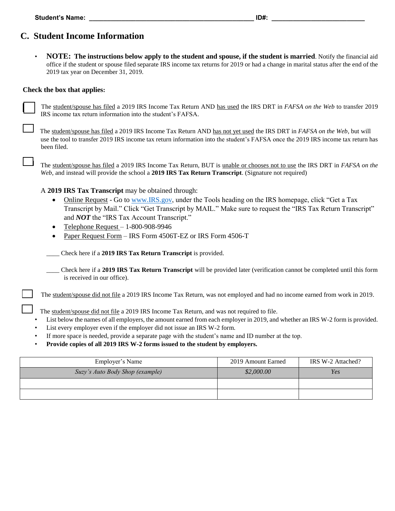## **C. Student Income Information**

• **NOTE: The instructions below apply to the student and spouse, if the student is married**. Notify the financial aid office if the student or spouse filed separate IRS income tax returns for 2019 or had a change in marital status after the end of the 2019 tax year on December 31, 2019.

#### **Check the box that applies:**

The student/spouse has filed a 2019 IRS Income Tax Return AND has used the IRS DRT in *FAFSA on the Web* to transfer 2019 IRS income tax return information into the student's FAFSA*.* 

The student/spouse has filed a 2019 IRS Income Tax Return AND has not yet used the IRS DRT in *FAFSA on the Web*, but will use the tool to transfer 2019 IRS income tax return information into the student's FAFSA once the 2019 IRS income tax return has been filed.

The student/spouse has filed a 2019 IRS Income Tax Return, BUT is unable or chooses not to use the IRS DRT in *FAFSA on the Web*, and instead will provide the school a **2019 IRS Tax Return Transcript**. (Signature not required)

A **2019 IRS Tax Transcript** may be obtained through:

- Online Request Go to [www.IRS.gov,](http://www.irs.gov/) under the Tools heading on the IRS homepage, click "Get a Tax Transcript by Mail." Click "Get Transcript by MAIL." Make sure to request the "IRS Tax Return Transcript" and *NOT* the "IRS Tax Account Transcript."
- Telephone Request 1-800-908-9946
- Paper Request Form IRS Form 4506T-EZ or IRS Form 4506-T

*\_\_\_\_* Check here if a **2019 IRS Tax Return Transcript** is provided.

\_\_\_\_ Check here if a **2019 IRS Tax Return Transcript** will be provided later (verification cannot be completed until this form is received in our office).

The student/spouse did not file a 2019 IRS Income Tax Return, was not employed and had no income earned from work in 2019.

The student/spouse did not file a 2019 IRS Income Tax Return, and was not required to file.

- List below the names of all employers, the amount earned from each employer in 2019, and whether an IRS W-2 form is provided.
- List every employer even if the employer did not issue an IRS W-2 form.
- If more space is needed, provide a separate page with the student's name and ID number at the top.
- **Provide copies of all 2019 IRS W-2 forms issued to the student by employers.**

| Employer's Name                 | 2019 Amount Earned | IRS W-2 Attached? |
|---------------------------------|--------------------|-------------------|
| Suzy's Auto Body Shop (example) | \$2,000.00         | Yes               |
|                                 |                    |                   |
|                                 |                    |                   |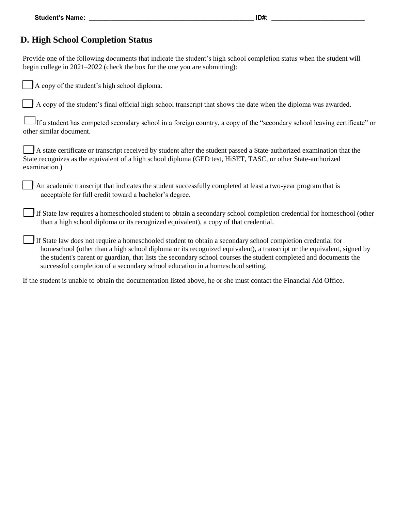#### **D. High School Completion Status**

Provide one of the following documents that indicate the student's high school completion status when the student will begin college in 2021–2022 (check the box for the one you are submitting):

| A copy of the student's high school diploma. |
|----------------------------------------------|
|----------------------------------------------|

A copy of the student's final official high school transcript that shows the date when the diploma was awarded.

If a student has competed secondary school in a foreign country, a copy of the "secondary school leaving certificate" or other similar document.

A state certificate or transcript received by student after the student passed a State-authorized examination that the State recognizes as the equivalent of a high school diploma (GED test, HiSET, TASC, or other State-authorized examination.)

An academic transcript that indicates the student successfully completed at least a two-year program that is acceptable for full credit toward a bachelor's degree.

If State law requires a homeschooled student to obtain a secondary school completion credential for homeschool (other than a high school diploma or its recognized equivalent), a copy of that credential.

If State law does not require a homeschooled student to obtain a secondary school completion credential for homeschool (other than a high school diploma or its recognized equivalent), a transcript or the equivalent, signed by the student's parent or guardian, that lists the secondary school courses the student completed and documents the successful completion of a secondary school education in a homeschool setting.

If the student is unable to obtain the documentation listed above, he or she must contact the Financial Aid Office.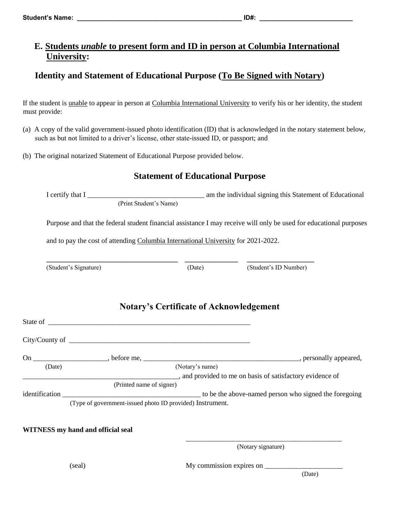#### **E. Students** *unable* **to present form and ID in person at Columbia International University:**

### **Identity and Statement of Educational Purpose (To Be Signed with Notary)**

If the student is unable to appear in person at Columbia International University to verify his or her identity, the student must provide:

- (a) A copy of the valid government-issued photo identification (ID) that is acknowledged in the notary statement below, such as but not limited to a driver's license, other state-issued ID, or passport; and
- (b) The original notarized Statement of Educational Purpose provided below.

#### **Statement of Educational Purpose**

I certify that I \_\_\_\_\_\_\_\_\_\_\_\_\_\_\_\_\_\_\_\_\_\_\_\_\_\_\_\_\_\_\_\_\_ am the individual signing this Statement of Educational (Print Student's Name)

Purpose and that the federal student financial assistance I may receive will only be used for educational purposes

and to pay the cost of attending Columbia International University for 2021-2022.

**\_\_\_\_\_\_\_\_\_\_\_\_\_\_\_\_\_\_\_\_\_\_\_\_\_\_\_\_\_\_\_\_\_\_\_\_\_ \_\_\_\_\_\_\_\_\_\_\_\_\_\_\_ \_\_\_\_\_\_\_\_\_\_\_\_\_\_\_\_\_\_\_**

(Student's Signature) (Date) (Student's ID Number)

|        |                                                                                       | <b>Notary's Certificate of Acknowledgement</b>                               |
|--------|---------------------------------------------------------------------------------------|------------------------------------------------------------------------------|
|        |                                                                                       |                                                                              |
|        |                                                                                       |                                                                              |
| (Date) |                                                                                       | (Notary's name)<br>, and provided to me on basis of satisfactory evidence of |
|        | (Printed name of signer)<br>(Type of government-issued photo ID provided) Instrument. |                                                                              |

 $\frac{1}{\sqrt{2\pi}}$  , which is a set of the set of the set of the set of the set of the set of the set of the set of the set of the set of the set of the set of the set of the set of the set of the set of the set of the set of

#### **WITNESS my hand and official seal**

(Notary signature)

(seal) My commission expires on \_\_\_\_\_\_\_\_\_\_\_\_\_\_\_\_\_\_\_\_\_\_